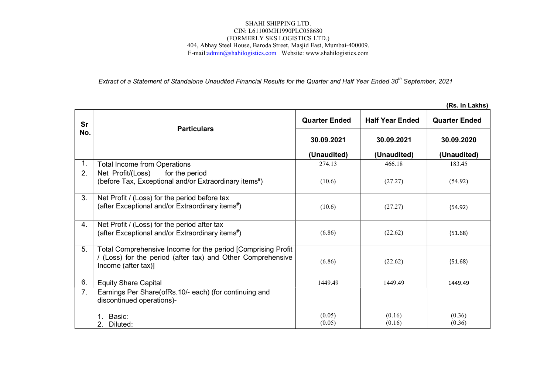## SHAHI SHIPPING LTD. CIN: L61100MH1990PLC058680 (FORMERLY SKS LOGISTICS LTD.) 404, Abhay Steel House, Baroda Street, Masjid East, Mumbai-400009. E-mail:*admin@shahilogistics.com* Website: www.shahilogistics.com

## Extract of a Statement of Standalone Unaudited Financial Results for the Quarter and Half Year Ended 30<sup>th</sup> September, 2021

|           |                                                                                                                                                    |                      |                        | (Rs. in Lakhs)       |
|-----------|----------------------------------------------------------------------------------------------------------------------------------------------------|----------------------|------------------------|----------------------|
| Sr<br>No. | <b>Particulars</b>                                                                                                                                 | <b>Quarter Ended</b> | <b>Half Year Ended</b> | <b>Quarter Ended</b> |
|           |                                                                                                                                                    | 30.09.2021           | 30.09.2021             | 30.09.2020           |
|           |                                                                                                                                                    | (Unaudited)          | (Unaudited)            | (Unaudited)          |
| 1.        | <b>Total Income from Operations</b>                                                                                                                | 274.13               | 466.18                 | 183.45               |
| 2.        | Net Profit/(Loss)<br>for the period<br>(before Tax, Exceptional and/or Extraordinary items <sup>#</sup> )                                          | (10.6)               | (27.27)                | (54.92)              |
| 3.        | Net Profit / (Loss) for the period before tax<br>(after Exceptional and/or Extraordinary items <sup>#</sup> )                                      | (10.6)               | (27.27)                | (54.92)              |
| 4.        | Net Profit / (Loss) for the period after tax<br>(after Exceptional and/or Extraordinary items#)                                                    | (6.86)               | (22.62)                | (51.68)              |
| 5.        | Total Comprehensive Income for the period [Comprising Profit<br>/ (Loss) for the period (after tax) and Other Comprehensive<br>Income (after tax)] | (6.86)               | (22.62)                | (51.68)              |
| 6.        | <b>Equity Share Capital</b>                                                                                                                        | 1449.49              | 1449.49                | 1449.49              |
| 7.        | Earnings Per Share(ofRs.10/- each) (for continuing and<br>discontinued operations)-                                                                |                      |                        |                      |
|           | Basic:<br>2.<br>Diluted:                                                                                                                           | (0.05)<br>(0.05)     | (0.16)<br>(0.16)       | (0.36)<br>(0.36)     |